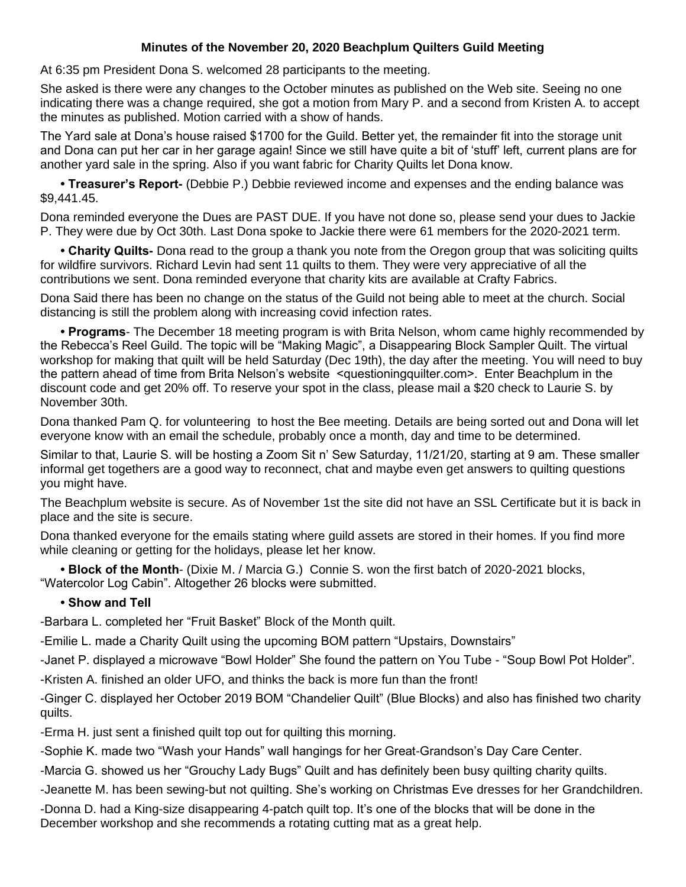## **Minutes of the November 20, 2020 Beachplum Quilters Guild Meeting**

At 6:35 pm President Dona S. welcomed 28 participants to the meeting.

She asked is there were any changes to the October minutes as published on the Web site. Seeing no one indicating there was a change required, she got a motion from Mary P. and a second from Kristen A. to accept the minutes as published. Motion carried with a show of hands.

The Yard sale at Dona's house raised \$1700 for the Guild. Better yet, the remainder fit into the storage unit and Dona can put her car in her garage again! Since we still have quite a bit of 'stuff' left, current plans are for another yard sale in the spring. Also if you want fabric for Charity Quilts let Dona know.

**• Treasurer's Report-** (Debbie P.) Debbie reviewed income and expenses and the ending balance was \$9,441.45.

Dona reminded everyone the Dues are PAST DUE. If you have not done so, please send your dues to Jackie P. They were due by Oct 30th. Last Dona spoke to Jackie there were 61 members for the 2020-2021 term.

**• Charity Quilts-** Dona read to the group a thank you note from the Oregon group that was soliciting quilts for wildfire survivors. Richard Levin had sent 11 quilts to them. They were very appreciative of all the contributions we sent. Dona reminded everyone that charity kits are available at Crafty Fabrics.

Dona Said there has been no change on the status of the Guild not being able to meet at the church. Social distancing is still the problem along with increasing covid infection rates.

**• Programs**- The December 18 meeting program is with Brita Nelson, whom came highly recommended by the Rebecca's Reel Guild. The topic will be "Making Magic", a Disappearing Block Sampler Quilt. The virtual workshop for making that quilt will be held Saturday (Dec 19th), the day after the meeting. You will need to buy the pattern ahead of time from Brita Nelson's website <questioningquilter.com>. Enter Beachplum in the discount code and get 20% off. To reserve your spot in the class, please mail a \$20 check to Laurie S. by November 30th.

Dona thanked Pam Q. for volunteering to host the Bee meeting. Details are being sorted out and Dona will let everyone know with an email the schedule, probably once a month, day and time to be determined.

Similar to that, Laurie S. will be hosting a Zoom Sit n' Sew Saturday, 11/21/20, starting at 9 am. These smaller informal get togethers are a good way to reconnect, chat and maybe even get answers to quilting questions you might have.

The Beachplum website is secure. As of November 1st the site did not have an SSL Certificate but it is back in place and the site is secure.

Dona thanked everyone for the emails stating where guild assets are stored in their homes. If you find more while cleaning or getting for the holidays, please let her know.

**• Block of the Month**- (Dixie M. / Marcia G.) Connie S. won the first batch of 2020-2021 blocks, "Watercolor Log Cabin". Altogether 26 blocks were submitted.

## **• Show and Tell**

-Barbara L. completed her "Fruit Basket" Block of the Month quilt.

-Emilie L. made a Charity Quilt using the upcoming BOM pattern "Upstairs, Downstairs"

-Janet P. displayed a microwave "Bowl Holder" She found the pattern on You Tube - "Soup Bowl Pot Holder".

-Kristen A. finished an older UFO, and thinks the back is more fun than the front!

-Ginger C. displayed her October 2019 BOM "Chandelier Quilt" (Blue Blocks) and also has finished two charity quilts.

-Erma H. just sent a finished quilt top out for quilting this morning.

-Sophie K. made two "Wash your Hands" wall hangings for her Great-Grandson's Day Care Center.

-Marcia G. showed us her "Grouchy Lady Bugs" Quilt and has definitely been busy quilting charity quilts.

-Jeanette M. has been sewing-but not quilting. She's working on Christmas Eve dresses for her Grandchildren.

-Donna D. had a King-size disappearing 4-patch quilt top. It's one of the blocks that will be done in the December workshop and she recommends a rotating cutting mat as a great help.